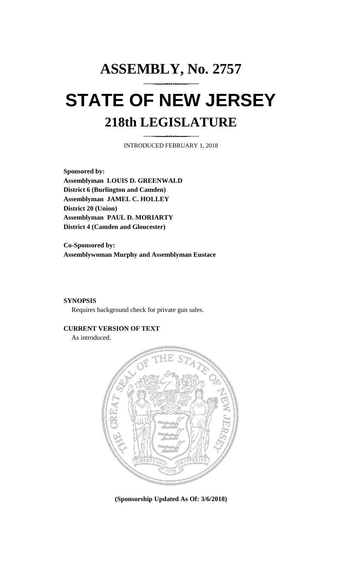# **ASSEMBLY, No. 2757 STATE OF NEW JERSEY 218th LEGISLATURE**

INTRODUCED FEBRUARY 1, 2018

**Sponsored by: Assemblyman LOUIS D. GREENWALD District 6 (Burlington and Camden) Assemblyman JAMEL C. HOLLEY District 20 (Union) Assemblyman PAUL D. MORIARTY District 4 (Camden and Gloucester)**

**Co-Sponsored by: Assemblywoman Murphy and Assemblyman Eustace**

## **SYNOPSIS**

Requires background check for private gun sales.

### **CURRENT VERSION OF TEXT**

As introduced.



**(Sponsorship Updated As Of: 3/6/2018)**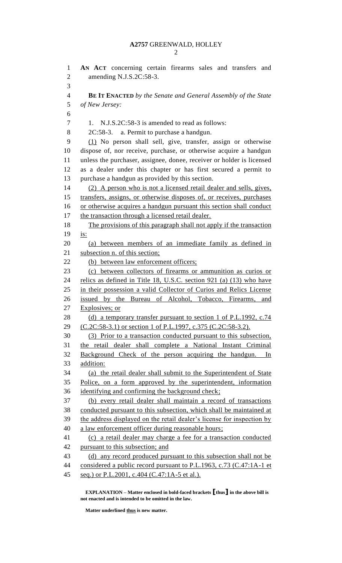**AN ACT** concerning certain firearms sales and transfers and amending N.J.S.2C:58-3. **BE IT ENACTED** *by the Senate and General Assembly of the State of New Jersey:* 1. N.J.S.2C:58-3 is amended to read as follows: 2C:58-3. a. Permit to purchase a handgun. (1) No person shall sell, give, transfer, assign or otherwise dispose of, nor receive, purchase, or otherwise acquire a handgun unless the purchaser, assignee, donee, receiver or holder is licensed as a dealer under this chapter or has first secured a permit to purchase a handgun as provided by this section. (2) A person who is not a licensed retail dealer and sells, gives, transfers, assigns, or otherwise disposes of, or receives, purchases or otherwise acquires a handgun pursuant this section shall conduct the transaction through a licensed retail dealer. The provisions of this paragraph shall not apply if the transaction is: (a) between members of an immediate family as defined in 21 subsection n. of this section; 22 (b) between law enforcement officers; (c) between collectors of firearms or ammunition as curios or relics as defined in Title 18, U.S.C. section 921 (a) (13) who have in their possession a valid Collector of Curios and Relics License issued by the Bureau of Alcohol, Tobacco, Firearms, and Explosives; or 28 (d) a temporary transfer pursuant to section 1 of P.L.1992, c.74 (C.2C:58-3.1) or section 1 of P.L.1997, c.375 (C.2C:58-3.2). (3) Prior to a transaction conducted pursuant to this subsection, the retail dealer shall complete a National Instant Criminal Background Check of the person acquiring the handgun. In addition: (a) the retail dealer shall submit to the Superintendent of State Police, on a form approved by the superintendent, information identifying and confirming the background check; (b) every retail dealer shall maintain a record of transactions conducted pursuant to this subsection, which shall be maintained at the address displayed on the retail dealer's license for inspection by a law enforcement officer during reasonable hours; (c) a retail dealer may charge a fee for a transaction conducted pursuant to this subsection; and (d) any record produced pursuant to this subsection shall not be considered a public record pursuant to P.L.1963, c.73 (C.47:1A-1 et seq.) or P.L.2001, c.404 (C.47:1A-5 et al.).

**EXPLANATION – Matter enclosed in bold-faced brackets [thus] in the above bill is not enacted and is intended to be omitted in the law.**

**Matter underlined thus is new matter.**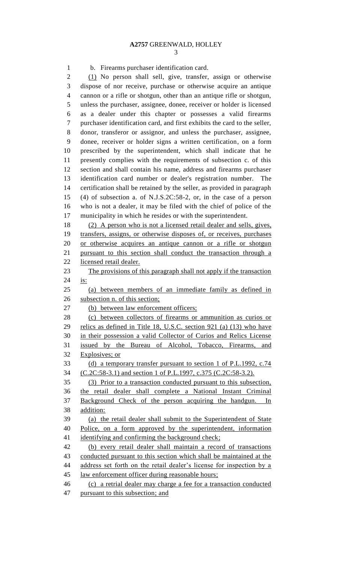b. Firearms purchaser identification card. (1) No person shall sell, give, transfer, assign or otherwise dispose of nor receive, purchase or otherwise acquire an antique cannon or a rifle or shotgun, other than an antique rifle or shotgun, unless the purchaser, assignee, donee, receiver or holder is licensed as a dealer under this chapter or possesses a valid firearms purchaser identification card, and first exhibits the card to the seller, donor, transferor or assignor, and unless the purchaser, assignee, donee, receiver or holder signs a written certification, on a form prescribed by the superintendent, which shall indicate that he presently complies with the requirements of subsection c. of this section and shall contain his name, address and firearms purchaser identification card number or dealer's registration number. The certification shall be retained by the seller, as provided in paragraph (4) of subsection a. of N.J.S.2C:58-2, or, in the case of a person who is not a dealer, it may be filed with the chief of police of the municipality in which he resides or with the superintendent. (2) A person who is not a licensed retail dealer and sells, gives, transfers, assigns, or otherwise disposes of, or receives, purchases or otherwise acquires an antique cannon or a rifle or shotgun pursuant to this section shall conduct the transaction through a licensed retail dealer. 23 The provisions of this paragraph shall not apply if the transaction is: (a) between members of an immediate family as defined in subsection n. of this section; (b) between law enforcement officers; (c) between collectors of firearms or ammunition as curios or relics as defined in Title 18, U.S.C. section 921 (a) (13) who have in their possession a valid Collector of Curios and Relics License issued by the Bureau of Alcohol, Tobacco, Firearms, and Explosives; or (d) a temporary transfer pursuant to section 1 of P.L.1992, c.74 (C.2C:58-3.1) and section 1 of P.L.1997, c.375 (C.2C:58-3.2). (3) Prior to a transaction conducted pursuant to this subsection, the retail dealer shall complete a National Instant Criminal Background Check of the person acquiring the handgun. In addition: (a) the retail dealer shall submit to the Superintendent of State Police, on a form approved by the superintendent, information 41 identifying and confirming the background check; (b) every retail dealer shall maintain a record of transactions conducted pursuant to this section which shall be maintained at the address set forth on the retail dealer's license for inspection by a law enforcement officer during reasonable hours; (c) a retrial dealer may charge a fee for a transaction conducted

pursuant to this subsection; and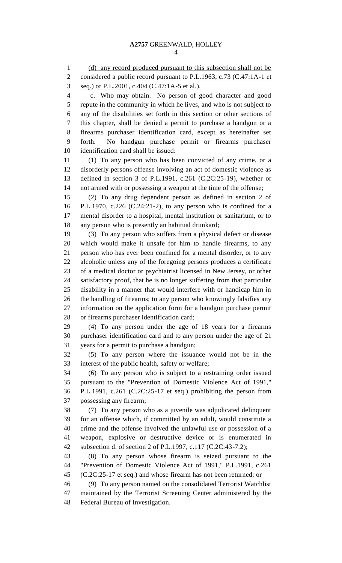(d) any record produced pursuant to this subsection shall not be

2 considered a public record pursuant to P.L.1963, c.73 (C.47:1A-1 et

seq.) or P.L.2001, c.404 (C.47:1A-5 et al.).

 c. Who may obtain. No person of good character and good repute in the community in which he lives, and who is not subject to any of the disabilities set forth in this section or other sections of this chapter, shall be denied a permit to purchase a handgun or a firearms purchaser identification card, except as hereinafter set forth. No handgun purchase permit or firearms purchaser identification card shall be issued:

 (1) To any person who has been convicted of any crime, or a disorderly persons offense involving an act of domestic violence as defined in section 3 of P.L.1991, c.261 (C.2C:25-19), whether or not armed with or possessing a weapon at the time of the offense;

 (2) To any drug dependent person as defined in section 2 of P.L.1970, c.226 (C.24:21-2), to any person who is confined for a mental disorder to a hospital, mental institution or sanitarium, or to any person who is presently an habitual drunkard;

 (3) To any person who suffers from a physical defect or disease which would make it unsafe for him to handle firearms, to any person who has ever been confined for a mental disorder, or to any alcoholic unless any of the foregoing persons produces a certificate of a medical doctor or psychiatrist licensed in New Jersey, or other satisfactory proof, that he is no longer suffering from that particular disability in a manner that would interfere with or handicap him in the handling of firearms; to any person who knowingly falsifies any information on the application form for a handgun purchase permit or firearms purchaser identification card;

 (4) To any person under the age of 18 years for a firearms purchaser identification card and to any person under the age of 21 years for a permit to purchase a handgun;

 (5) To any person where the issuance would not be in the interest of the public health, safety or welfare;

 (6) To any person who is subject to a restraining order issued pursuant to the "Prevention of Domestic Violence Act of 1991," P.L.1991, c.261 (C.2C:25-17 et seq.) prohibiting the person from possessing any firearm;

 (7) To any person who as a juvenile was adjudicated delinquent for an offense which, if committed by an adult, would constitute a crime and the offense involved the unlawful use or possession of a weapon, explosive or destructive device or is enumerated in subsection d. of section 2 of P.L.1997, c.117 (C.2C:43-7.2);

 (8) To any person whose firearm is seized pursuant to the "Prevention of Domestic Violence Act of 1991," P.L.1991, c.261 (C.2C:25-17 et seq.) and whose firearm has not been returned; or

 (9) To any person named on the consolidated Terrorist Watchlist maintained by the Terrorist Screening Center administered by the Federal Bureau of Investigation.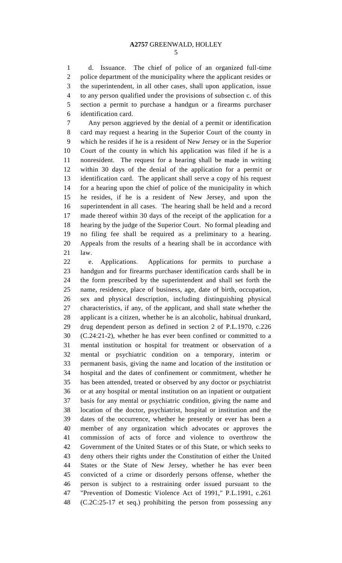d. Issuance. The chief of police of an organized full-time police department of the municipality where the applicant resides or the superintendent, in all other cases, shall upon application, issue to any person qualified under the provisions of subsection c. of this section a permit to purchase a handgun or a firearms purchaser identification card.

 Any person aggrieved by the denial of a permit or identification card may request a hearing in the Superior Court of the county in which he resides if he is a resident of New Jersey or in the Superior Court of the county in which his application was filed if he is a nonresident. The request for a hearing shall be made in writing within 30 days of the denial of the application for a permit or identification card. The applicant shall serve a copy of his request for a hearing upon the chief of police of the municipality in which he resides, if he is a resident of New Jersey, and upon the superintendent in all cases. The hearing shall be held and a record made thereof within 30 days of the receipt of the application for a hearing by the judge of the Superior Court. No formal pleading and no filing fee shall be required as a preliminary to a hearing. Appeals from the results of a hearing shall be in accordance with law.

 e. Applications. Applications for permits to purchase a handgun and for firearms purchaser identification cards shall be in the form prescribed by the superintendent and shall set forth the name, residence, place of business, age, date of birth, occupation, sex and physical description, including distinguishing physical characteristics, if any, of the applicant, and shall state whether the applicant is a citizen, whether he is an alcoholic, habitual drunkard, drug dependent person as defined in section 2 of P.L.1970, c.226 (C.24:21-2), whether he has ever been confined or committed to a mental institution or hospital for treatment or observation of a mental or psychiatric condition on a temporary, interim or permanent basis, giving the name and location of the institution or hospital and the dates of confinement or commitment, whether he has been attended, treated or observed by any doctor or psychiatrist or at any hospital or mental institution on an inpatient or outpatient basis for any mental or psychiatric condition, giving the name and location of the doctor, psychiatrist, hospital or institution and the dates of the occurrence, whether he presently or ever has been a member of any organization which advocates or approves the commission of acts of force and violence to overthrow the Government of the United States or of this State, or which seeks to deny others their rights under the Constitution of either the United States or the State of New Jersey, whether he has ever been convicted of a crime or disorderly persons offense, whether the person is subject to a restraining order issued pursuant to the "Prevention of Domestic Violence Act of 1991," P.L.1991, c.261 (C.2C:25-17 et seq.) prohibiting the person from possessing any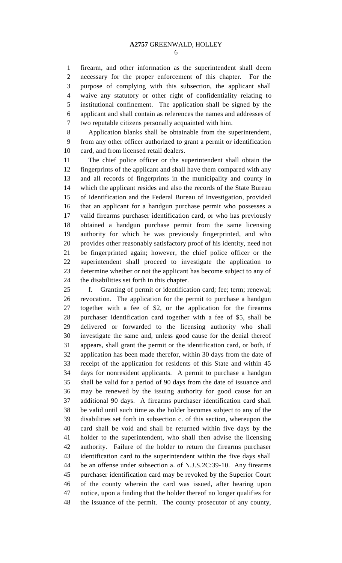firearm, and other information as the superintendent shall deem necessary for the proper enforcement of this chapter. For the purpose of complying with this subsection, the applicant shall waive any statutory or other right of confidentiality relating to institutional confinement. The application shall be signed by the applicant and shall contain as references the names and addresses of two reputable citizens personally acquainted with him.

 Application blanks shall be obtainable from the superintendent, from any other officer authorized to grant a permit or identification card, and from licensed retail dealers.

 The chief police officer or the superintendent shall obtain the fingerprints of the applicant and shall have them compared with any and all records of fingerprints in the municipality and county in which the applicant resides and also the records of the State Bureau of Identification and the Federal Bureau of Investigation, provided that an applicant for a handgun purchase permit who possesses a valid firearms purchaser identification card, or who has previously obtained a handgun purchase permit from the same licensing authority for which he was previously fingerprinted, and who provides other reasonably satisfactory proof of his identity, need not be fingerprinted again; however, the chief police officer or the superintendent shall proceed to investigate the application to determine whether or not the applicant has become subject to any of the disabilities set forth in this chapter.

 f. Granting of permit or identification card; fee; term; renewal; revocation. The application for the permit to purchase a handgun together with a fee of \$2, or the application for the firearms purchaser identification card together with a fee of \$5, shall be delivered or forwarded to the licensing authority who shall investigate the same and, unless good cause for the denial thereof appears, shall grant the permit or the identification card, or both, if application has been made therefor, within 30 days from the date of receipt of the application for residents of this State and within 45 days for nonresident applicants. A permit to purchase a handgun shall be valid for a period of 90 days from the date of issuance and may be renewed by the issuing authority for good cause for an additional 90 days. A firearms purchaser identification card shall be valid until such time as the holder becomes subject to any of the disabilities set forth in subsection c. of this section, whereupon the card shall be void and shall be returned within five days by the holder to the superintendent, who shall then advise the licensing authority. Failure of the holder to return the firearms purchaser identification card to the superintendent within the five days shall be an offense under subsection a. of N.J.S.2C:39-10. Any firearms purchaser identification card may be revoked by the Superior Court of the county wherein the card was issued, after hearing upon notice, upon a finding that the holder thereof no longer qualifies for the issuance of the permit. The county prosecutor of any county,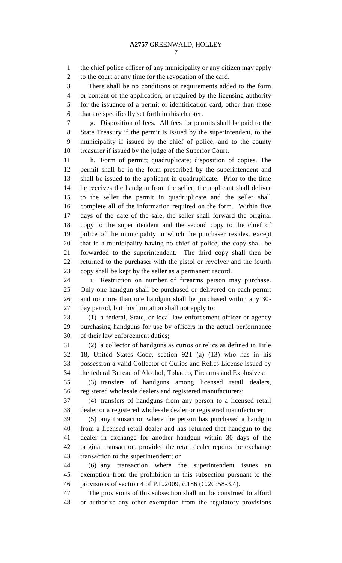the chief police officer of any municipality or any citizen may apply to the court at any time for the revocation of the card.

 There shall be no conditions or requirements added to the form or content of the application, or required by the licensing authority for the issuance of a permit or identification card, other than those that are specifically set forth in this chapter.

 g. Disposition of fees. All fees for permits shall be paid to the State Treasury if the permit is issued by the superintendent, to the municipality if issued by the chief of police, and to the county treasurer if issued by the judge of the Superior Court.

 h. Form of permit; quadruplicate; disposition of copies. The permit shall be in the form prescribed by the superintendent and shall be issued to the applicant in quadruplicate. Prior to the time he receives the handgun from the seller, the applicant shall deliver to the seller the permit in quadruplicate and the seller shall complete all of the information required on the form. Within five days of the date of the sale, the seller shall forward the original copy to the superintendent and the second copy to the chief of police of the municipality in which the purchaser resides, except that in a municipality having no chief of police, the copy shall be forwarded to the superintendent. The third copy shall then be returned to the purchaser with the pistol or revolver and the fourth copy shall be kept by the seller as a permanent record.

 i. Restriction on number of firearms person may purchase. Only one handgun shall be purchased or delivered on each permit and no more than one handgun shall be purchased within any 30- day period, but this limitation shall not apply to:

 (1) a federal, State, or local law enforcement officer or agency purchasing handguns for use by officers in the actual performance of their law enforcement duties;

 (2) a collector of handguns as curios or relics as defined in Title 18, United States Code, section 921 (a) (13) who has in his possession a valid Collector of Curios and Relics License issued by the federal Bureau of Alcohol, Tobacco, Firearms and Explosives;

 (3) transfers of handguns among licensed retail dealers, registered wholesale dealers and registered manufacturers;

 (4) transfers of handguns from any person to a licensed retail dealer or a registered wholesale dealer or registered manufacturer;

 (5) any transaction where the person has purchased a handgun from a licensed retail dealer and has returned that handgun to the dealer in exchange for another handgun within 30 days of the original transaction, provided the retail dealer reports the exchange transaction to the superintendent; or

 (6) any transaction where the superintendent issues an exemption from the prohibition in this subsection pursuant to the provisions of section 4 of P.L.2009, c.186 (C.2C:58-3.4).

 The provisions of this subsection shall not be construed to afford or authorize any other exemption from the regulatory provisions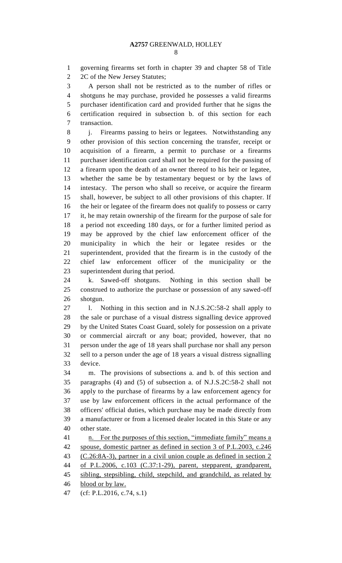governing firearms set forth in chapter 39 and chapter 58 of Title 2 2C of the New Jersey Statutes;

 A person shall not be restricted as to the number of rifles or shotguns he may purchase, provided he possesses a valid firearms purchaser identification card and provided further that he signs the certification required in subsection b. of this section for each transaction.

8 i. Firearms passing to heirs or legatees. Notwithstanding any other provision of this section concerning the transfer, receipt or acquisition of a firearm, a permit to purchase or a firearms purchaser identification card shall not be required for the passing of a firearm upon the death of an owner thereof to his heir or legatee, whether the same be by testamentary bequest or by the laws of intestacy. The person who shall so receive, or acquire the firearm shall, however, be subject to all other provisions of this chapter. If the heir or legatee of the firearm does not qualify to possess or carry it, he may retain ownership of the firearm for the purpose of sale for a period not exceeding 180 days, or for a further limited period as may be approved by the chief law enforcement officer of the municipality in which the heir or legatee resides or the superintendent, provided that the firearm is in the custody of the chief law enforcement officer of the municipality or the superintendent during that period.

 k. Sawed-off shotguns. Nothing in this section shall be construed to authorize the purchase or possession of any sawed-off shotgun.

 l. Nothing in this section and in N.J.S.2C:58-2 shall apply to the sale or purchase of a visual distress signalling device approved by the United States Coast Guard, solely for possession on a private or commercial aircraft or any boat; provided, however, that no person under the age of 18 years shall purchase nor shall any person sell to a person under the age of 18 years a visual distress signalling device.

 m. The provisions of subsections a. and b. of this section and paragraphs (4) and (5) of subsection a. of N.J.S.2C:58-2 shall not apply to the purchase of firearms by a law enforcement agency for use by law enforcement officers in the actual performance of the officers' official duties, which purchase may be made directly from a manufacturer or from a licensed dealer located in this State or any other state.

 n. For the purposes of this section, "immediate family" means a spouse, domestic partner as defined in section 3 of P.L.2003, c.246 (C.26:8A-3), partner in a civil union couple as defined in section 2 of P.L.2006, c.103 (C.37:1-29), parent, stepparent, grandparent, sibling, stepsibling, child, stepchild, and grandchild, as related by blood or by law.

(cf: P.L.2016, c.74, s.1)